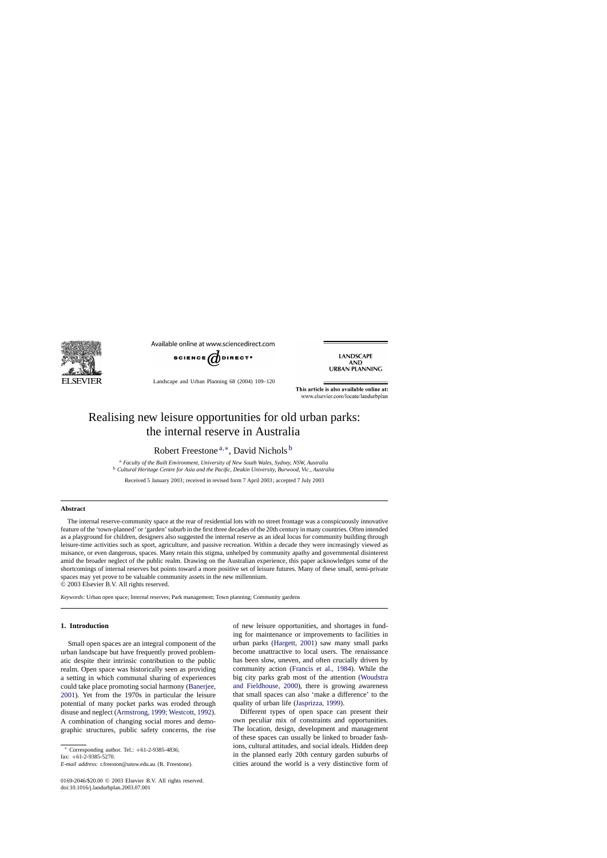

Available online at www.sciencedirect.com



Landscape and Urban Planning 68 (2004) 109–120

**LANDSCAPE AND URBAN PLANNING** 

This article is also available online at: www.elsevier.com/locate/landurbplan

## Realising new leisure opportunities for old urban parks: the internal reserve in Australia

Robert Freestone<sup>a,∗</sup>, David Nichols<sup>b</sup>

<sup>a</sup> *Faculty of the Built Environment, University of New South Wales, Sydney, NSW, Australia* <sup>b</sup> *Cultural Heritage Centre for Asia and the Pacific, Deakin University, Burwood, Vic., Australia*

Received 5 January 2003; received in revised form 7 April 2003; accepted 7 July 2003

#### **Abstract**

The internal reserve-community space at the rear of residential lots with no street frontage was a conspicuously innovative feature of the 'town-planned' or 'garden' suburb in the first three decades of the 20th century in many countries. Often intended as a playground for children, designers also suggested the internal reserve as an ideal locus for community building through leisure-time activities such as sport, agriculture, and passive recreation. Within a decade they were increasingly viewed as nuisance, or even dangerous, spaces. Many retain this stigma, unhelped by community apathy and governmental disinterest amid the broader neglect of the public realm. Drawing on the Australian experience, this paper acknowledges some of the shortcomings of internal reserves but points toward a more positive set of leisure futures. Many of these small, semi-private spaces may yet prove to be valuable community assets in the new millennium.

© 2003 Elsevier B.V. All rights reserved.

*Keywords:* Urban open space; Internal reserves; Park management; Town planning; Community gardens

#### **1. Introduction**

Small open spaces are an integral component of the urban landscape but have frequently proved problematic despite their intrinsic contribution to the public realm. Open space was historically seen as providing a setting in which communal sharing of experiences could take place promoting social harmony ([Banerjee,](#page--1-0) [2001\).](#page--1-0) Yet from the 1970s in particular the leisure potential of many pocket parks was eroded through disuse and neglect ([Armstrong, 1999; Westcott, 1992\).](#page--1-0) A combination of changing social mores and demographic structures, public safety concerns, the rise

<sup>∗</sup> Corresponding author. Tel.: +61-2-9385-4836;

fax: +61-2-9385-5270.

*E-mail address:* r.freeston@unsw.edu.au (R. Freestone).

0169-2046/\$20.00 © 2003 Elsevier B.V. All rights reserved. doi:10.1016/j.landurbplan.2003.07.001

of new leisure opportunities, and shortages in funding for maintenance or improvements to facilities in urban parks [\(Hargett, 2001\)](#page--1-0) saw many small parks become unattractive to local users. The renaissance has been slow, uneven, and often crucially driven by community action [\(Francis et al., 1984\)](#page--1-0). While the big city parks grab most of the attention ([Woudstra](#page--1-0) [and Fieldhouse, 2000\)](#page--1-0), there is growing awareness that small spaces can also 'make a difference' to the quality of urban life ([Jasprizza, 1999\).](#page--1-0)

Different types of open space can present their own peculiar mix of constraints and opportunities. The location, design, development and management of these spaces can usually be linked to broader fashions, cultural attitudes, and social ideals. Hidden deep in the planned early 20th century garden suburbs of cities around the world is a very distinctive form of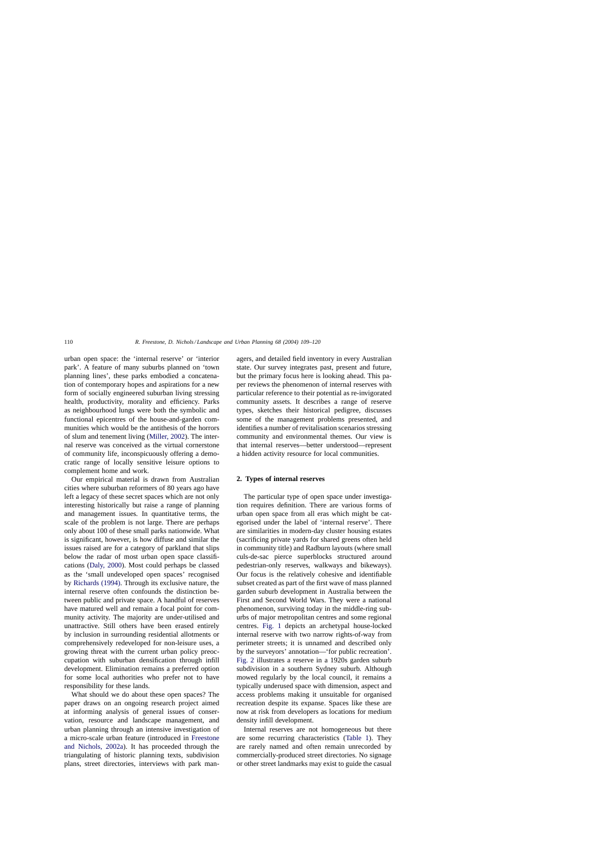urban open space: the 'internal reserve' or 'interior park'. A feature of many suburbs planned on 'town planning lines', these parks embodied a concatenation of contemporary hopes and aspirations for a new form of socially engineered suburban living stressing health, productivity, morality and efficiency. Parks as neighbourhood lungs were both the symbolic and functional epicentres of the house-and-garden communities which would be the antithesis of the horrors of slum and tenement living [\(Miller, 2002\).](#page--1-0) The internal reserve was conceived as the virtual cornerstone of community life, inconspicuously offering a democratic range of locally sensitive leisure options to complement home and work.

Our empirical material is drawn from Australian cities where suburban reformers of 80 years ago have left a legacy of these secret spaces which are not only interesting historically but raise a range of planning and management issues. In quantitative terms, the scale of the problem is not large. There are perhaps only about 100 of these small parks nationwide. What is significant, however, is how diffuse and similar the issues raised are for a category of parkland that slips below the radar of most urban open space classifications [\(Daly, 2000\).](#page--1-0) Most could perhaps be classed as the 'small undeveloped open spaces' recognised by [Richards \(1994\).](#page--1-0) Through its exclusive nature, the internal reserve often confounds the distinction between public and private space. A handful of reserves have matured well and remain a focal point for community activity. The majority are under-utilised and unattractive. Still others have been erased entirely by inclusion in surrounding residential allotments or comprehensively redeveloped for non-leisure uses, a growing threat with the current urban policy preoccupation with suburban densification through infill development. Elimination remains a preferred option for some local authorities who prefer not to have responsibility for these lands.

What should we do about these open spaces? The paper draws on an ongoing research project aimed at informing analysis of general issues of conservation, resource and landscape management, and urban planning through an intensive investigation of a micro-scale urban feature (introduced in [Freestone](#page--1-0) [and Nichols, 2002a\)](#page--1-0). It has proceeded through the triangulating of historic planning texts, subdivision plans, street directories, interviews with park managers, and detailed field inventory in every Australian state. Our survey integrates past, present and future, but the primary focus here is looking ahead. This paper reviews the phenomenon of internal reserves with particular reference to their potential as re-invigorated community assets. It describes a range of reserve types, sketches their historical pedigree, discusses some of the management problems presented, and identifies a number of revitalisation scenarios stressing community and environmental themes. Our view is that internal reserves—better understood—represent a hidden activity resource for local communities.

### **2. Types of internal reserves**

The particular type of open space under investigation requires definition. There are various forms of urban open space from all eras which might be categorised under the label of 'internal reserve'. There are similarities in modern-day cluster housing estates (sacrificing private yards for shared greens often held in community title) and Radburn layouts (where small culs-de-sac pierce superblocks structured around pedestrian-only reserves, walkways and bikeways). Our focus is the relatively cohesive and identifiable subset created as part of the first wave of mass planned garden suburb development in Australia between the First and Second World Wars. They were a national phenomenon, surviving today in the middle-ring suburbs of major metropolitan centres and some regional centres. [Fig. 1](#page--1-0) depicts an archetypal house-locked internal reserve with two narrow rights-of-way from perimeter streets; it is unnamed and described only by the surveyors' annotation—'for public recreation'. [Fig. 2](#page--1-0) illustrates a reserve in a 1920s garden suburb subdivision in a southern Sydney suburb. Although mowed regularly by the local council, it remains a typically underused space with dimension, aspect and access problems making it unsuitable for organised recreation despite its expanse. Spaces like these are now at risk from developers as locations for medium density infill development.

Internal reserves are not homogeneous but there are some recurring characteristics ([Table 1\)](#page--1-0). They are rarely named and often remain unrecorded by commercially-produced street directories. No signage or other street landmarks may exist to guide the casual